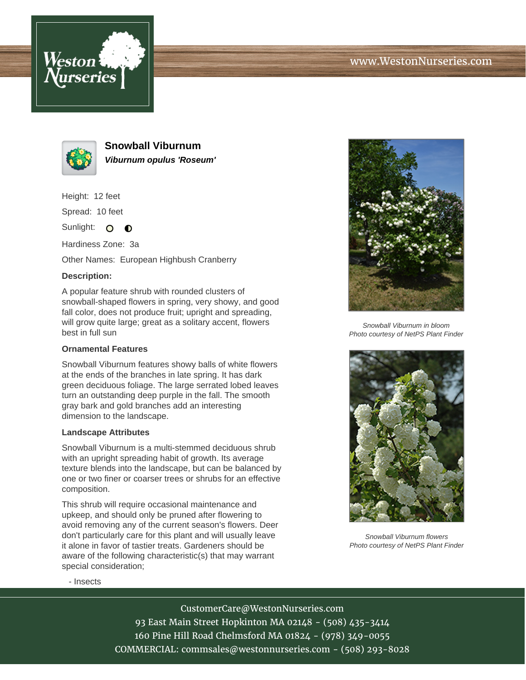



**Snowball Viburnum Viburnum opulus 'Roseum'**

Height: 12 feet

Spread: 10 feet

Sunlight: O **O** 

Hardiness Zone: 3a

Other Names: European Highbush Cranberry

## **Description:**

A popular feature shrub with rounded clusters of snowball-shaped flowers in spring, very showy, and good fall color, does not produce fruit; upright and spreading, will grow quite large; great as a solitary accent, flowers best in full sun

## **Ornamental Features**

Snowball Viburnum features showy balls of white flowers at the ends of the branches in late spring. It has dark green deciduous foliage. The large serrated lobed leaves turn an outstanding deep purple in the fall. The smooth gray bark and gold branches add an interesting dimension to the landscape.

## **Landscape Attributes**

Snowball Viburnum is a multi-stemmed deciduous shrub with an upright spreading habit of growth. Its average texture blends into the landscape, but can be balanced by one or two finer or coarser trees or shrubs for an effective composition.

This shrub will require occasional maintenance and upkeep, and should only be pruned after flowering to avoid removing any of the current season's flowers. Deer don't particularly care for this plant and will usually leave it alone in favor of tastier treats. Gardeners should be aware of the following characteristic(s) that may warrant special consideration;



Snowball Viburnum in bloom Photo courtesy of NetPS Plant Finder



Snowball Viburnum flowers Photo courtesy of NetPS Plant Finder

- Insects

CustomerCare@WestonNurseries.com 93 East Main Street Hopkinton MA 02148 - (508) 435-3414 160 Pine Hill Road Chelmsford MA 01824 - (978) 349-0055 COMMERCIAL: commsales@westonnurseries.com - (508) 293-8028